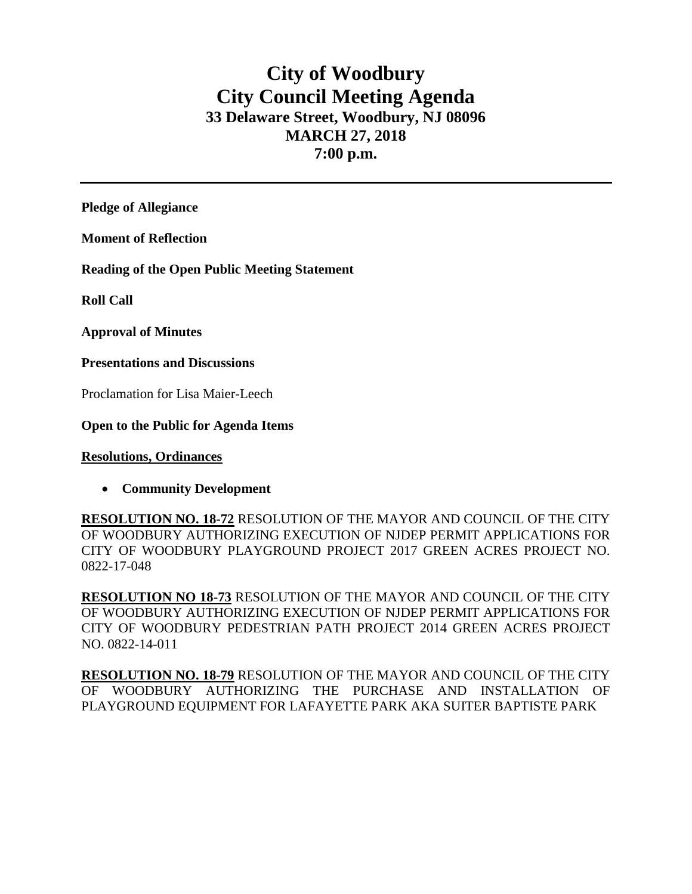# **City of Woodbury City Council Meeting Agenda 33 Delaware Street, Woodbury, NJ 08096 MARCH 27, 2018 7:00 p.m.**

**Pledge of Allegiance**

**Moment of Reflection**

**Reading of the Open Public Meeting Statement**

**Roll Call**

**Approval of Minutes**

**Presentations and Discussions**

Proclamation for Lisa Maier-Leech

**Open to the Public for Agenda Items**

**Resolutions, Ordinances**

**Community Development**

**RESOLUTION NO. 18-72** RESOLUTION OF THE MAYOR AND COUNCIL OF THE CITY OF WOODBURY AUTHORIZING EXECUTION OF NJDEP PERMIT APPLICATIONS FOR CITY OF WOODBURY PLAYGROUND PROJECT 2017 GREEN ACRES PROJECT NO. 0822-17-048

**RESOLUTION NO 18-73** RESOLUTION OF THE MAYOR AND COUNCIL OF THE CITY OF WOODBURY AUTHORIZING EXECUTION OF NJDEP PERMIT APPLICATIONS FOR CITY OF WOODBURY PEDESTRIAN PATH PROJECT 2014 GREEN ACRES PROJECT NO. 0822-14-011

**RESOLUTION NO. 18-79** RESOLUTION OF THE MAYOR AND COUNCIL OF THE CITY OF WOODBURY AUTHORIZING THE PURCHASE AND INSTALLATION OF PLAYGROUND EQUIPMENT FOR LAFAYETTE PARK AKA SUITER BAPTISTE PARK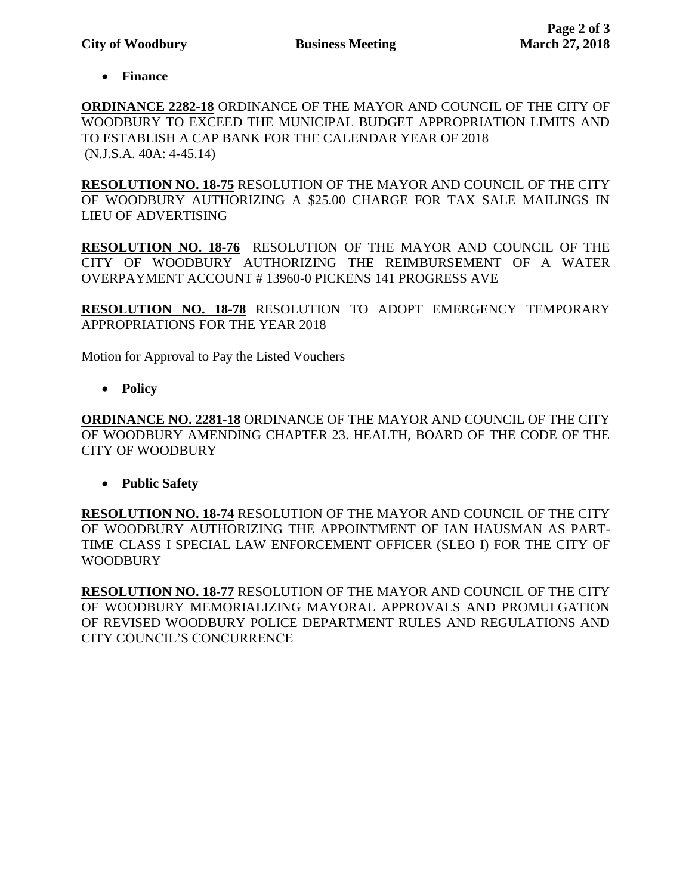**Finance** 

**ORDINANCE 2282-18** ORDINANCE OF THE MAYOR AND COUNCIL OF THE CITY OF WOODBURY TO EXCEED THE MUNICIPAL BUDGET APPROPRIATION LIMITS AND TO ESTABLISH A CAP BANK FOR THE CALENDAR YEAR OF 2018 (N.J.S.A. 40A: 4-45.14)

**RESOLUTION NO. 18-75** RESOLUTION OF THE MAYOR AND COUNCIL OF THE CITY OF WOODBURY AUTHORIZING A \$25.00 CHARGE FOR TAX SALE MAILINGS IN LIEU OF ADVERTISING

**RESOLUTION NO. 18-76** RESOLUTION OF THE MAYOR AND COUNCIL OF THE CITY OF WOODBURY AUTHORIZING THE REIMBURSEMENT OF A WATER OVERPAYMENT ACCOUNT # 13960-0 PICKENS 141 PROGRESS AVE

**RESOLUTION NO. 18-78** RESOLUTION TO ADOPT EMERGENCY TEMPORARY APPROPRIATIONS FOR THE YEAR 2018

Motion for Approval to Pay the Listed Vouchers

**Policy**

**ORDINANCE NO. 2281-18** ORDINANCE OF THE MAYOR AND COUNCIL OF THE CITY OF WOODBURY AMENDING CHAPTER 23. HEALTH, BOARD OF THE CODE OF THE CITY OF WOODBURY

**Public Safety**

**RESOLUTION NO. 18-74** RESOLUTION OF THE MAYOR AND COUNCIL OF THE CITY OF WOODBURY AUTHORIZING THE APPOINTMENT OF IAN HAUSMAN AS PART-TIME CLASS I SPECIAL LAW ENFORCEMENT OFFICER (SLEO I) FOR THE CITY OF WOODBURY

**RESOLUTION NO. 18-77** RESOLUTION OF THE MAYOR AND COUNCIL OF THE CITY OF WOODBURY MEMORIALIZING MAYORAL APPROVALS AND PROMULGATION OF REVISED WOODBURY POLICE DEPARTMENT RULES AND REGULATIONS AND CITY COUNCIL'S CONCURRENCE